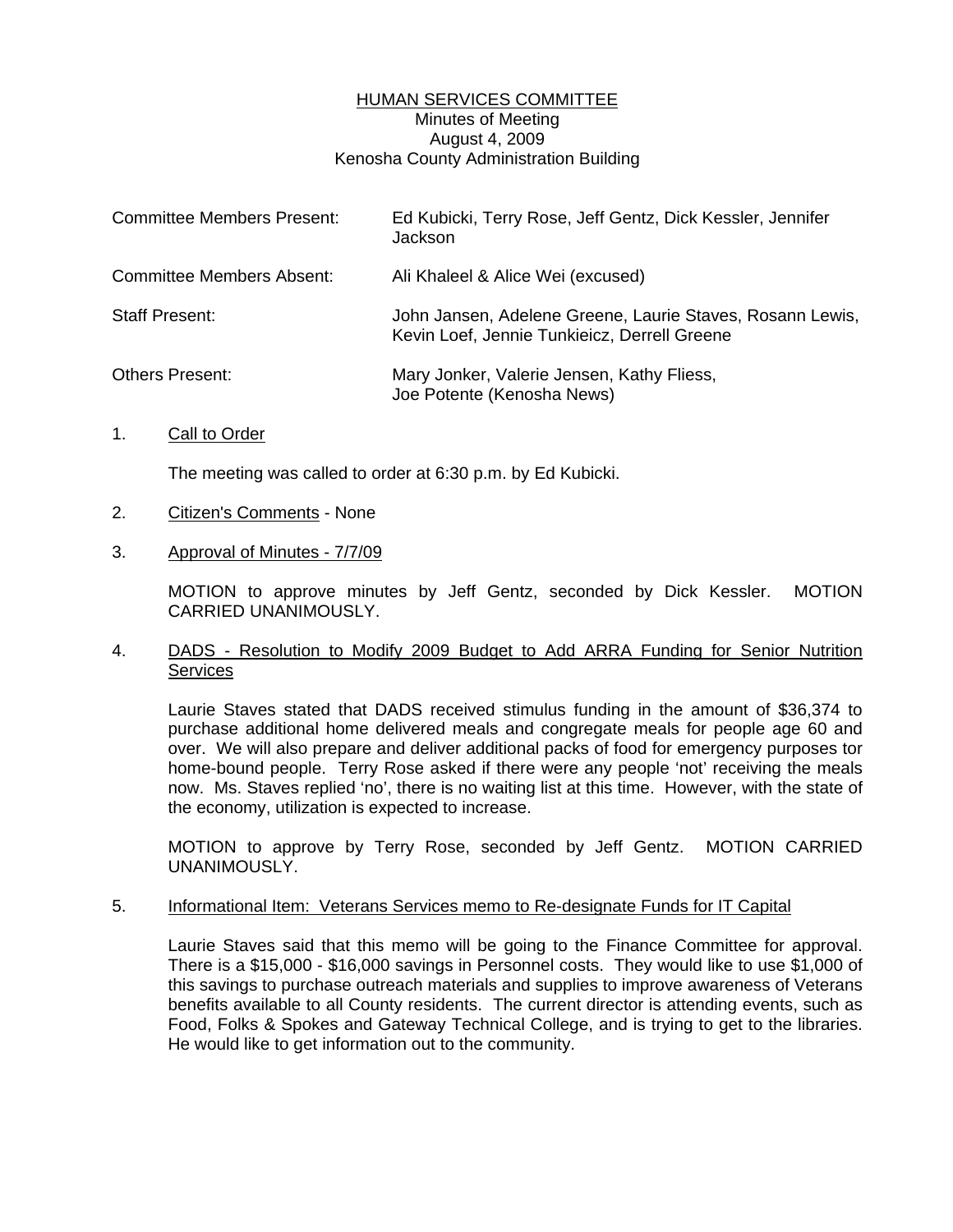#### HUMAN SERVICES COMMITTEE Minutes of Meeting August 4, 2009 Kenosha County Administration Building

| Committee Members Present: | Ed Kubicki, Terry Rose, Jeff Gentz, Dick Kessler, Jennifer<br>Jackson                                     |
|----------------------------|-----------------------------------------------------------------------------------------------------------|
| Committee Members Absent:  | Ali Khaleel & Alice Wei (excused)                                                                         |
| <b>Staff Present:</b>      | John Jansen, Adelene Greene, Laurie Staves, Rosann Lewis,<br>Kevin Loef, Jennie Tunkieicz, Derrell Greene |
| <b>Others Present:</b>     | Mary Jonker, Valerie Jensen, Kathy Fliess,<br>Joe Potente (Kenosha News)                                  |

1. Call to Order

The meeting was called to order at 6:30 p.m. by Ed Kubicki.

- 2. Citizen's Comments None
- 3. Approval of Minutes 7/7/09

 MOTION to approve minutes by Jeff Gentz, seconded by Dick Kessler. MOTION CARRIED UNANIMOUSLY.

#### 4. DADS - Resolution to Modify 2009 Budget to Add ARRA Funding for Senior Nutrition **Services**

 Laurie Staves stated that DADS received stimulus funding in the amount of \$36,374 to purchase additional home delivered meals and congregate meals for people age 60 and over. We will also prepare and deliver additional packs of food for emergency purposes tor home-bound people. Terry Rose asked if there were any people 'not' receiving the meals now. Ms. Staves replied 'no', there is no waiting list at this time. However, with the state of the economy, utilization is expected to increase.

 MOTION to approve by Terry Rose, seconded by Jeff Gentz. MOTION CARRIED UNANIMOUSLY.

#### 5. Informational Item: Veterans Services memo to Re-designate Funds for IT Capital

 Laurie Staves said that this memo will be going to the Finance Committee for approval. There is a \$15,000 - \$16,000 savings in Personnel costs. They would like to use \$1,000 of this savings to purchase outreach materials and supplies to improve awareness of Veterans benefits available to all County residents. The current director is attending events, such as Food, Folks & Spokes and Gateway Technical College, and is trying to get to the libraries. He would like to get information out to the community.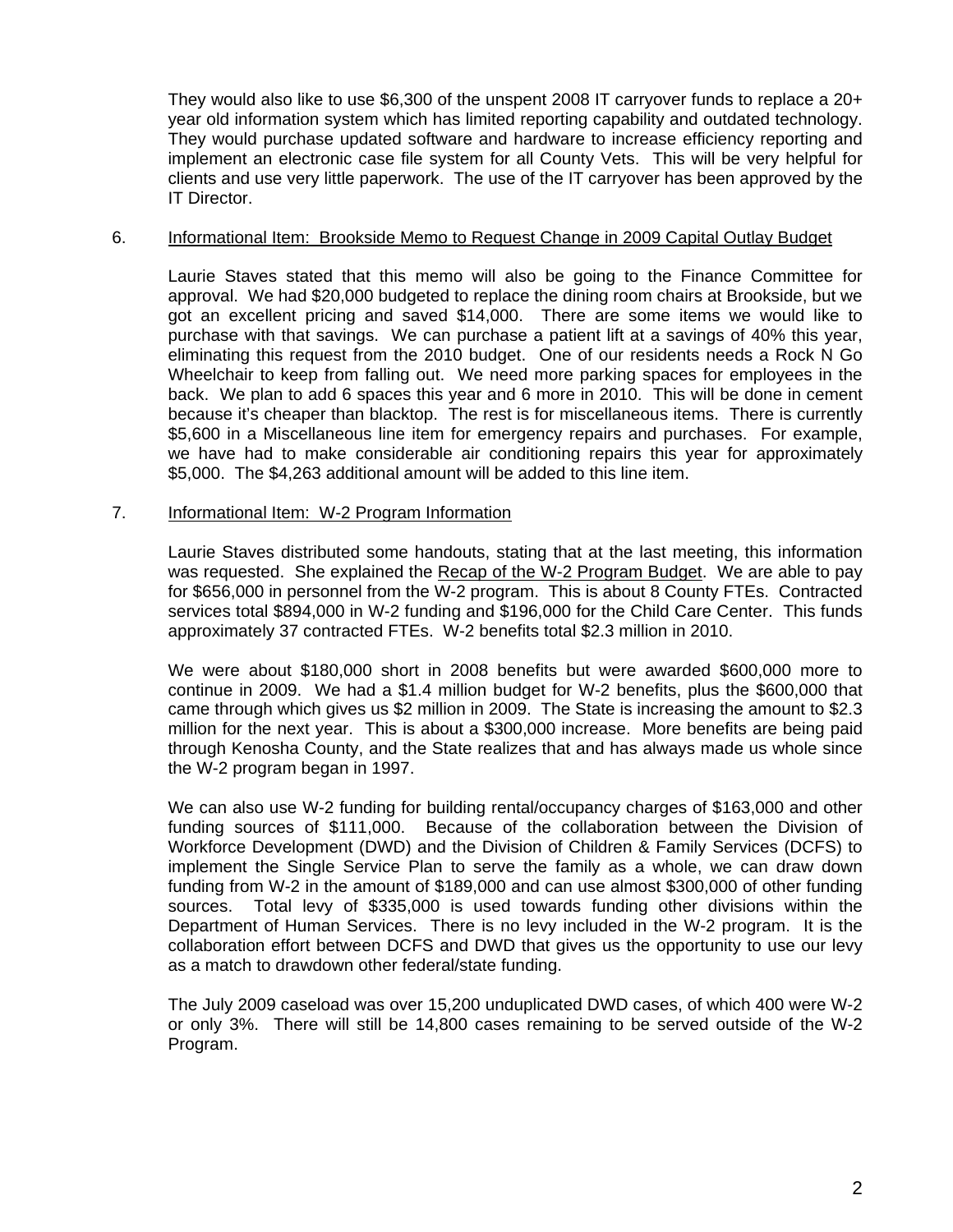They would also like to use \$6,300 of the unspent 2008 IT carryover funds to replace a 20+ year old information system which has limited reporting capability and outdated technology. They would purchase updated software and hardware to increase efficiency reporting and implement an electronic case file system for all County Vets. This will be very helpful for clients and use very little paperwork. The use of the IT carryover has been approved by the IT Director.

### 6. **Informational Item: Brookside Memo to Request Change in 2009 Capital Outlay Budget**

 Laurie Staves stated that this memo will also be going to the Finance Committee for approval. We had \$20,000 budgeted to replace the dining room chairs at Brookside, but we got an excellent pricing and saved \$14,000. There are some items we would like to purchase with that savings. We can purchase a patient lift at a savings of 40% this year, eliminating this request from the 2010 budget. One of our residents needs a Rock N Go Wheelchair to keep from falling out. We need more parking spaces for employees in the back. We plan to add 6 spaces this year and 6 more in 2010. This will be done in cement because it's cheaper than blacktop. The rest is for miscellaneous items. There is currently \$5,600 in a Miscellaneous line item for emergency repairs and purchases. For example, we have had to make considerable air conditioning repairs this year for approximately \$5,000. The \$4,263 additional amount will be added to this line item.

#### 7. Informational Item: W-2 Program Information

 Laurie Staves distributed some handouts, stating that at the last meeting, this information was requested. She explained the Recap of the W-2 Program Budget. We are able to pay for \$656,000 in personnel from the W-2 program. This is about 8 County FTEs. Contracted services total \$894,000 in W-2 funding and \$196,000 for the Child Care Center. This funds approximately 37 contracted FTEs. W-2 benefits total \$2.3 million in 2010.

 We were about \$180,000 short in 2008 benefits but were awarded \$600,000 more to continue in 2009. We had a \$1.4 million budget for W-2 benefits, plus the \$600,000 that came through which gives us \$2 million in 2009. The State is increasing the amount to \$2.3 million for the next year. This is about a \$300,000 increase. More benefits are being paid through Kenosha County, and the State realizes that and has always made us whole since the W-2 program began in 1997.

 We can also use W-2 funding for building rental/occupancy charges of \$163,000 and other funding sources of \$111,000. Because of the collaboration between the Division of Workforce Development (DWD) and the Division of Children & Family Services (DCFS) to implement the Single Service Plan to serve the family as a whole, we can draw down funding from W-2 in the amount of \$189,000 and can use almost \$300,000 of other funding sources. Total levy of \$335,000 is used towards funding other divisions within the Department of Human Services. There is no levy included in the W-2 program. It is the collaboration effort between DCFS and DWD that gives us the opportunity to use our levy as a match to drawdown other federal/state funding.

 The July 2009 caseload was over 15,200 unduplicated DWD cases, of which 400 were W-2 or only 3%. There will still be 14,800 cases remaining to be served outside of the W-2 Program.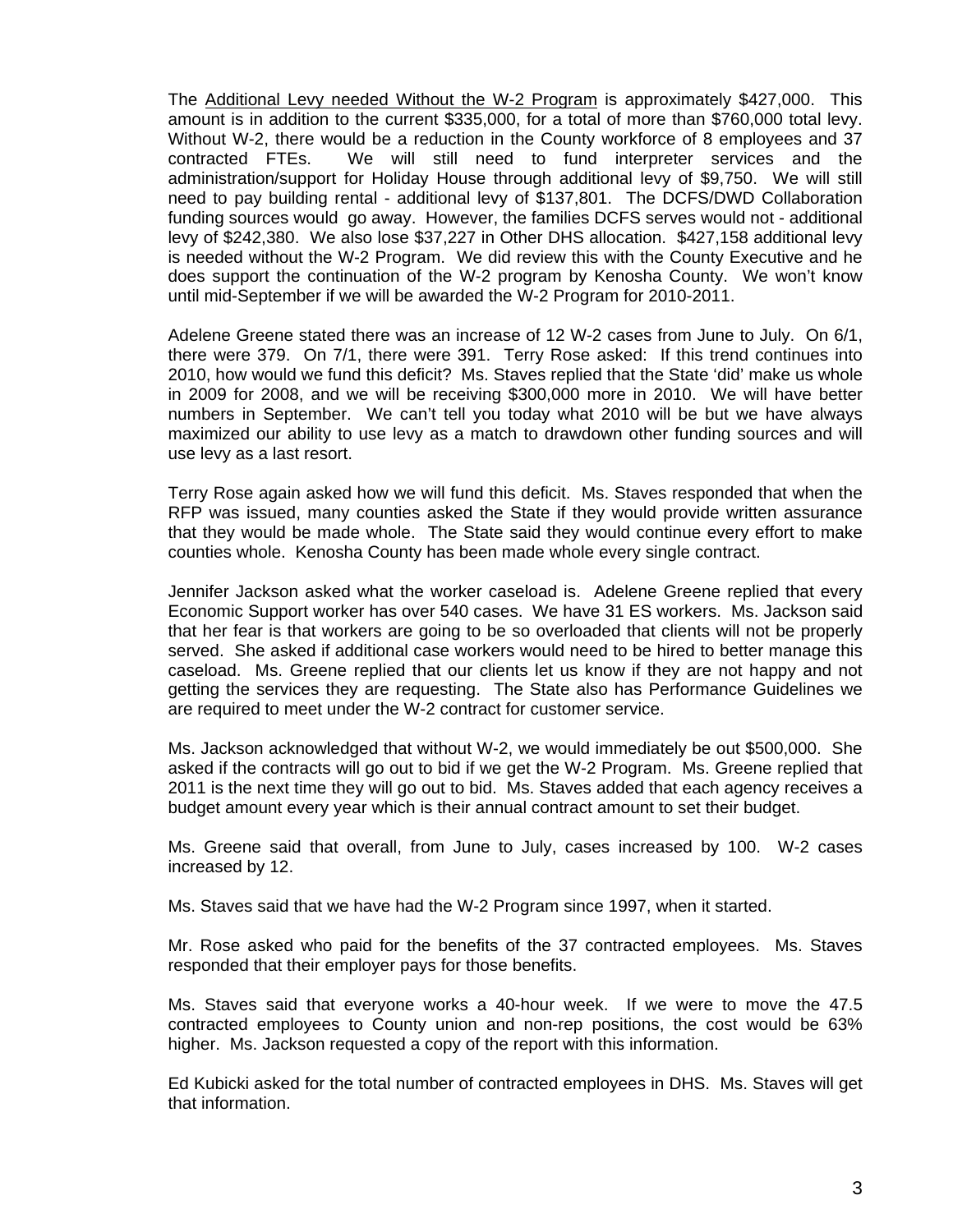The Additional Levy needed Without the W-2 Program is approximately \$427,000. This amount is in addition to the current \$335,000, for a total of more than \$760,000 total levy. Without W-2, there would be a reduction in the County workforce of 8 employees and 37 contracted FTEs. We will still need to fund interpreter services and the administration/support for Holiday House through additional levy of \$9,750. We will still need to pay building rental - additional levy of \$137,801. The DCFS/DWD Collaboration funding sources would go away. However, the families DCFS serves would not - additional levy of \$242,380. We also lose \$37,227 in Other DHS allocation. \$427,158 additional levy is needed without the W-2 Program. We did review this with the County Executive and he does support the continuation of the W-2 program by Kenosha County. We won't know until mid-September if we will be awarded the W-2 Program for 2010-2011.

 Adelene Greene stated there was an increase of 12 W-2 cases from June to July. On 6/1, there were 379. On 7/1, there were 391. Terry Rose asked: If this trend continues into 2010, how would we fund this deficit? Ms. Staves replied that the State 'did' make us whole in 2009 for 2008, and we will be receiving \$300,000 more in 2010. We will have better numbers in September. We can't tell you today what 2010 will be but we have always maximized our ability to use levy as a match to drawdown other funding sources and will use levy as a last resort.

 Terry Rose again asked how we will fund this deficit. Ms. Staves responded that when the RFP was issued, many counties asked the State if they would provide written assurance that they would be made whole. The State said they would continue every effort to make counties whole. Kenosha County has been made whole every single contract.

 Jennifer Jackson asked what the worker caseload is. Adelene Greene replied that every Economic Support worker has over 540 cases. We have 31 ES workers. Ms. Jackson said that her fear is that workers are going to be so overloaded that clients will not be properly served. She asked if additional case workers would need to be hired to better manage this caseload. Ms. Greene replied that our clients let us know if they are not happy and not getting the services they are requesting. The State also has Performance Guidelines we are required to meet under the W-2 contract for customer service.

 Ms. Jackson acknowledged that without W-2, we would immediately be out \$500,000. She asked if the contracts will go out to bid if we get the W-2 Program. Ms. Greene replied that 2011 is the next time they will go out to bid. Ms. Staves added that each agency receives a budget amount every year which is their annual contract amount to set their budget.

 Ms. Greene said that overall, from June to July, cases increased by 100. W-2 cases increased by 12.

Ms. Staves said that we have had the W-2 Program since 1997, when it started.

 Mr. Rose asked who paid for the benefits of the 37 contracted employees. Ms. Staves responded that their employer pays for those benefits.

 Ms. Staves said that everyone works a 40-hour week. If we were to move the 47.5 contracted employees to County union and non-rep positions, the cost would be 63% higher. Ms. Jackson requested a copy of the report with this information.

 Ed Kubicki asked for the total number of contracted employees in DHS. Ms. Staves will get that information.